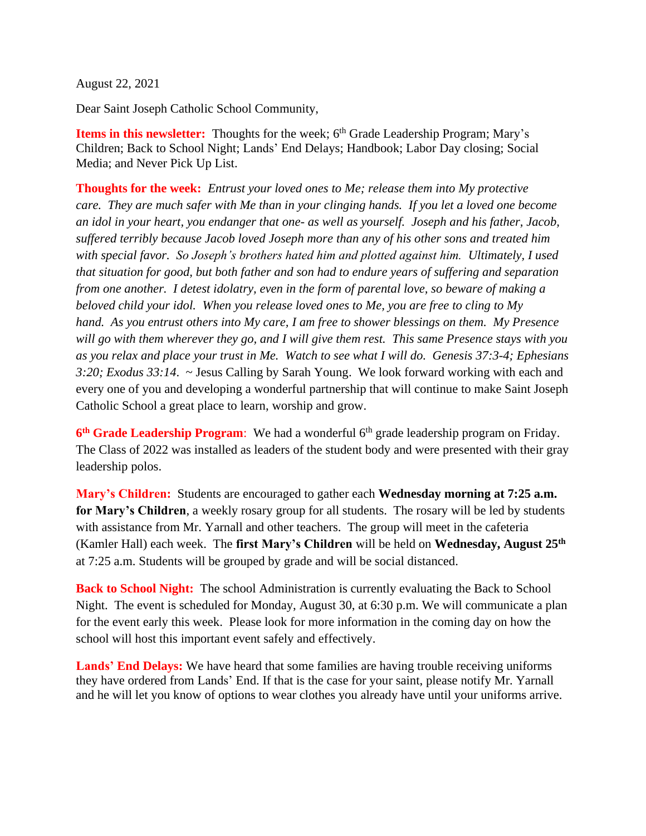August 22, 2021

Dear Saint Joseph Catholic School Community,

**Items in this newsletter:** Thoughts for the week; 6<sup>th</sup> Grade Leadership Program; Mary's Children; Back to School Night; Lands' End Delays; Handbook; Labor Day closing; Social Media; and Never Pick Up List.

**Thoughts for the week:** *Entrust your loved ones to Me; release them into My protective care. They are much safer with Me than in your clinging hands. If you let a loved one become an idol in your heart, you endanger that one- as well as yourself. Joseph and his father, Jacob, suffered terribly because Jacob loved Joseph more than any of his other sons and treated him with special favor. So Joseph's brothers hated him and plotted against him. Ultimately, I used that situation for good, but both father and son had to endure years of suffering and separation from one another. I detest idolatry, even in the form of parental love, so beware of making a beloved child your idol. When you release loved ones to Me, you are free to cling to My hand. As you entrust others into My care, I am free to shower blessings on them. My Presence will go with them wherever they go, and I will give them rest. This same Presence stays with you as you relax and place your trust in Me. Watch to see what I will do. Genesis 37:3-4; Ephesians 3:20; Exodus 33:14*. ~ Jesus Calling by Sarah Young. We look forward working with each and every one of you and developing a wonderful partnership that will continue to make Saint Joseph Catholic School a great place to learn, worship and grow.

6<sup>th</sup> Grade Leadership Program: We had a wonderful 6<sup>th</sup> grade leadership program on Friday. The Class of 2022 was installed as leaders of the student body and were presented with their gray leadership polos.

**Mary's Children:** Students are encouraged to gather each **Wednesday morning at 7:25 a.m. for Mary's Children**, a weekly rosary group for all students. The rosary will be led by students with assistance from Mr. Yarnall and other teachers. The group will meet in the cafeteria (Kamler Hall) each week. The **first Mary's Children** will be held on **Wednesday, August 25th** at 7:25 a.m. Students will be grouped by grade and will be social distanced.

**Back to School Night:** The school Administration is currently evaluating the Back to School Night. The event is scheduled for Monday, August 30, at 6:30 p.m. We will communicate a plan for the event early this week. Please look for more information in the coming day on how the school will host this important event safely and effectively.

**Lands' End Delays:** We have heard that some families are having trouble receiving uniforms they have ordered from Lands' End. If that is the case for your saint, please notify Mr. Yarnall and he will let you know of options to wear clothes you already have until your uniforms arrive.